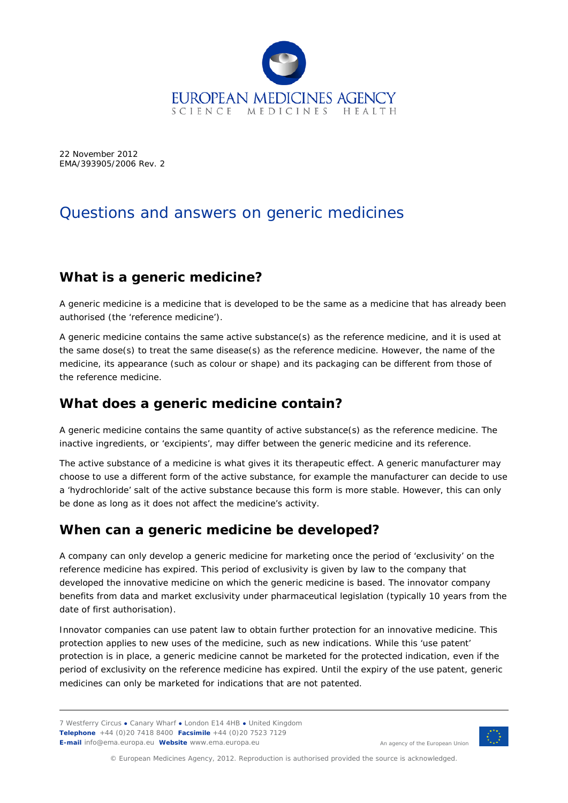

22 November 2012 EMA/393905/2006 Rev. 2

# Questions and answers on generic medicines

# **What is a generic medicine?**

A generic medicine is a medicine that is developed to be the same as a medicine that has already been authorised (the 'reference medicine').

A generic medicine contains the same active substance(s) as the reference medicine, and it is used at the same dose(s) to treat the same disease(s) as the reference medicine. However, the name of the medicine, its appearance (such as colour or shape) and its packaging can be different from those of the reference medicine.

#### **What does a generic medicine contain?**

A generic medicine contains the same quantity of active substance(s) as the reference medicine. The inactive ingredients, or 'excipients', may differ between the generic medicine and its reference.

The active substance of a medicine is what gives it its therapeutic effect. A generic manufacturer may choose to use a different form of the active substance, for example the manufacturer can decide to use a 'hydrochloride' salt of the active substance because this form is more stable. However, this can only be done as long as it does not affect the medicine's activity.

#### **When can a generic medicine be developed?**

A company can only develop a generic medicine for marketing once the period of 'exclusivity' on the reference medicine has expired. This period of exclusivity is given by law to the company that developed the innovative medicine on which the generic medicine is based. The innovator company benefits from data and market exclusivity under pharmaceutical legislation (typically 10 years from the date of first authorisation).

Innovator companies can use patent law to obtain further protection for an innovative medicine. This protection applies to new uses of the medicine, such as new indications. While this 'use patent' protection is in place, a generic medicine cannot be marketed for the protected indication, even if the period of exclusivity on the reference medicine has expired. Until the expiry of the use patent, generic medicines can only be marketed for indications that are not patented.

7 Westferry Circus **●** Canary Wharf **●** London E14 4HB **●** United Kingdom **Telephone** +44 (0)20 7418 8400 **Facsimile** +44 (0)20 7523 7129 **E-mail** info@ema.europa.eu **Website** www.ema.europa.eu



An agency of the European Union

© European Medicines Agency, 2012. Reproduction is authorised provided the source is acknowledged.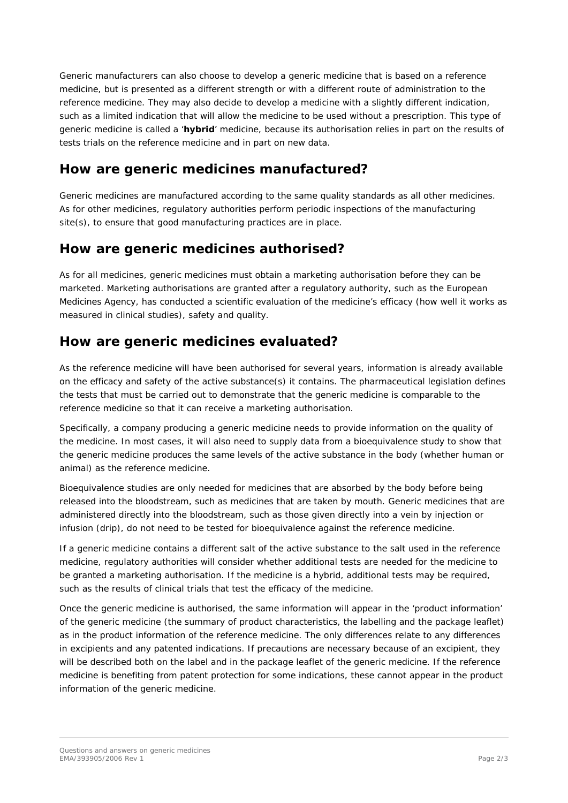Generic manufacturers can also choose to develop a generic medicine that is based on a reference medicine, but is presented as a different strength or with a different route of administration to the reference medicine. They may also decide to develop a medicine with a slightly different indication, such as a limited indication that will allow the medicine to be used without a prescription. This type of generic medicine is called a '**hybrid**' medicine, because its authorisation relies in part on the results of tests trials on the reference medicine and in part on new data.

#### **How are generic medicines manufactured?**

Generic medicines are manufactured according to the same quality standards as all other medicines. As for other medicines, regulatory authorities perform periodic inspections of the manufacturing site(s), to ensure that good manufacturing practices are in place.

# **How are generic medicines authorised?**

As for all medicines, generic medicines must obtain a marketing authorisation before they can be marketed. Marketing authorisations are granted after a regulatory authority, such as the European Medicines Agency, has conducted a scientific evaluation of the medicine's efficacy (how well it works as measured in clinical studies), safety and quality.

# **How are generic medicines evaluated?**

As the reference medicine will have been authorised for several years, information is already available on the efficacy and safety of the active substance(s) it contains. The pharmaceutical legislation defines the tests that must be carried out to demonstrate that the generic medicine is comparable to the reference medicine so that it can receive a marketing authorisation.

Specifically, a company producing a generic medicine needs to provide information on the quality of the medicine. In most cases, it will also need to supply data from a bioequivalence study to show that the generic medicine produces the same levels of the active substance in the body (whether human or animal) as the reference medicine.

Bioequivalence studies are only needed for medicines that are absorbed by the body before being released into the bloodstream, such as medicines that are taken by mouth. Generic medicines that are administered directly into the bloodstream, such as those given directly into a vein by injection or infusion (drip), do not need to be tested for bioequivalence against the reference medicine.

If a generic medicine contains a different salt of the active substance to the salt used in the reference medicine, regulatory authorities will consider whether additional tests are needed for the medicine to be granted a marketing authorisation. If the medicine is a hybrid, additional tests may be required, such as the results of clinical trials that test the efficacy of the medicine.

Once the generic medicine is authorised, the same information will appear in the 'product information' of the generic medicine (the summary of product characteristics, the labelling and the package leaflet) as in the product information of the reference medicine. The only differences relate to any differences in excipients and any patented indications. If precautions are necessary because of an excipient, they will be described both on the label and in the package leaflet of the generic medicine. If the reference medicine is benefiting from patent protection for some indications, these cannot appear in the product information of the generic medicine.